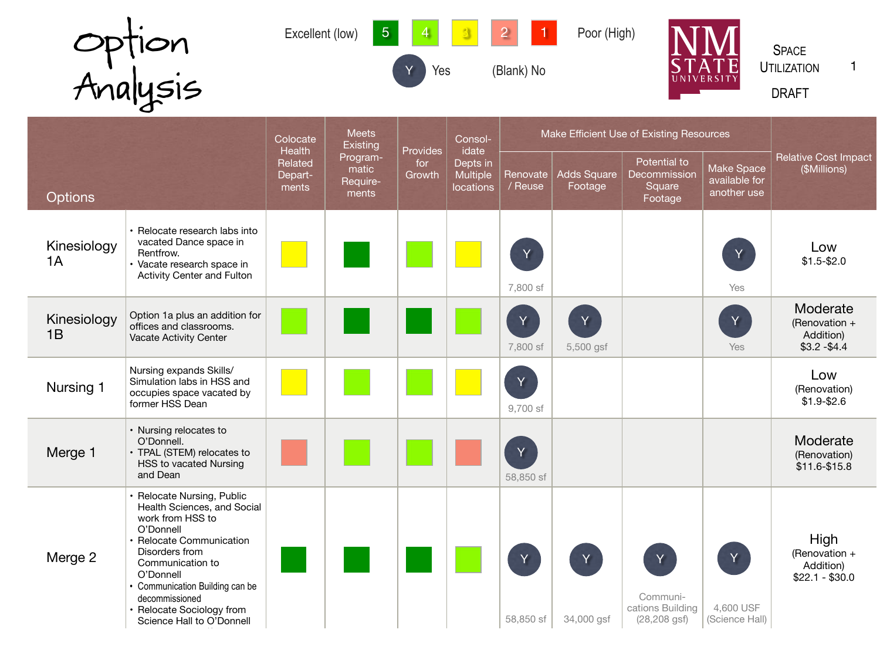| <b>Option</b> | 5 4<br>Excellent (low) | $\sqrt{3}$<br>2<br>Poor (High) | <b>SPACE</b>                                     |
|---------------|------------------------|--------------------------------|--------------------------------------------------|
|               | V.<br>Yes              | (Blank) No                     | <b>STATE</b><br><b>UTILIZATION</b><br>UNIVERSITY |
| Analysis      |                        |                                | <b>DRAFT</b>                                     |

and the control of the control of the control of the control of the control of the control of the control of the

**Contract Contract** 

**STATISTICS** 

|                   |                                                                                                                                                                                                                                                                                          | Colocate                                                                        | <b>Meets</b><br><b>Existing</b> |                           | Consol-                                           | Make Efficient Use of Existing Resources |                               |                                                      |                                            |                                                         |
|-------------------|------------------------------------------------------------------------------------------------------------------------------------------------------------------------------------------------------------------------------------------------------------------------------------------|---------------------------------------------------------------------------------|---------------------------------|---------------------------|---------------------------------------------------|------------------------------------------|-------------------------------|------------------------------------------------------|--------------------------------------------|---------------------------------------------------------|
| <b>Options</b>    |                                                                                                                                                                                                                                                                                          | Health<br>Program-<br>Related<br>matic<br>Depart-<br>Require-<br>ments<br>ments |                                 | Provides<br>for<br>Growth | idate<br>Depts in<br><b>Multiple</b><br>locations | Renovate<br>/ Reuse                      | <b>Adds Square</b><br>Footage | Potential to<br>Decommission<br>Square<br>Footage    | Make Space<br>available for<br>another use | <b>Relative Cost Impact</b><br>(\$Millions)             |
| Kinesiology<br>1A | • Relocate research labs into<br>vacated Dance space in<br>Rentfrow.<br>Vacate research space in<br><b>Activity Center and Fulton</b>                                                                                                                                                    |                                                                                 |                                 |                           |                                                   | Y<br>7,800 sf                            |                               |                                                      | Y<br>Yes                                   | Low<br>$$1.5 - $2.0$                                    |
| Kinesiology<br>1B | Option 1a plus an addition for<br>offices and classrooms.<br><b>Vacate Activity Center</b>                                                                                                                                                                                               |                                                                                 |                                 |                           |                                                   | Y<br>7,800 sf                            | Y<br>5,500 gsf                |                                                      | Y<br>Yes                                   | Moderate<br>(Renovation +<br>Addition)<br>$$3.2 - $4.4$ |
| Nursing 1         | Nursing expands Skills/<br>Simulation labs in HSS and<br>occupies space vacated by<br>former HSS Dean                                                                                                                                                                                    |                                                                                 |                                 |                           |                                                   | $\overline{\mathsf{Y}}$<br>9,700 sf      |                               |                                                      |                                            | Low<br>(Renovation)<br>$$1.9 - $2.6$                    |
| Merge 1           | • Nursing relocates to<br>O'Donnell.<br>• TPAL (STEM) relocates to<br><b>HSS to vacated Nursing</b><br>and Dean                                                                                                                                                                          |                                                                                 |                                 |                           |                                                   | Y<br>58,850 sf                           |                               |                                                      |                                            | Moderate<br>(Renovation)<br>$$11.6 - $15.8$             |
| Merge 2           | • Relocate Nursing, Public<br>Health Sciences, and Social<br>work from HSS to<br>O'Donnell<br>• Relocate Communication<br>Disorders from<br>Communication to<br>O'Donnell<br>• Communication Building can be<br>decommissioned<br>• Relocate Sociology from<br>Science Hall to O'Donnell |                                                                                 |                                 |                           |                                                   | Y<br>58,850 sf                           | Y<br>34,000 gsf               | Y<br>Communi-<br>cations Building<br>$(28, 208$ gsf) | Y<br>4,600 USF<br>(Science Hall)           | High<br>(Renovation $+$<br>Addition)<br>$$22.1 - $30.0$ |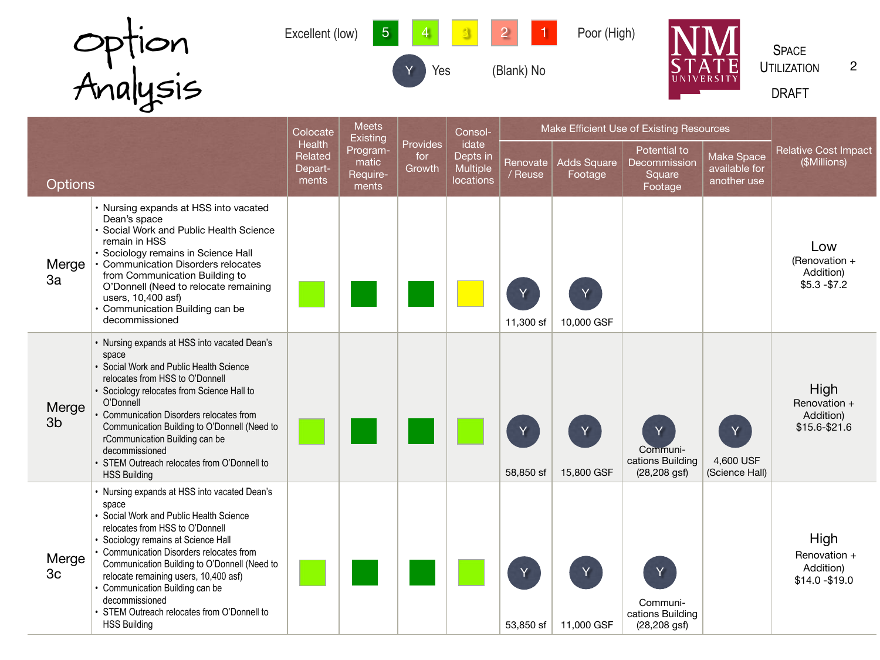

|                |                                                                                                                                                                                                                                                                                                                                                                                                                                            | Colocate                              | <b>Meets</b><br><b>Existing</b>        |                           | Consol-                                                  |                     | Make Efficient Use of Existing Resources |                                                       |                                            |                                                      |
|----------------|--------------------------------------------------------------------------------------------------------------------------------------------------------------------------------------------------------------------------------------------------------------------------------------------------------------------------------------------------------------------------------------------------------------------------------------------|---------------------------------------|----------------------------------------|---------------------------|----------------------------------------------------------|---------------------|------------------------------------------|-------------------------------------------------------|--------------------------------------------|------------------------------------------------------|
| <b>Options</b> |                                                                                                                                                                                                                                                                                                                                                                                                                                            | Health<br>Related<br>Depart-<br>ments | Program-<br>matic<br>Require-<br>ments | Provides<br>for<br>Growth | idate<br>Depts in<br><b>Multiple</b><br><b>locations</b> | Renovate<br>/ Reuse | <b>Adds Square</b><br>Footage            | Potential to<br>Decommission<br>Square<br>Footage     | Make Space<br>available for<br>another use | <b>Relative Cost Impact</b><br>(\$Millions)          |
| Merge<br>3a    | • Nursing expands at HSS into vacated<br>Dean's space<br>· Social Work and Public Health Science<br>remain in HSS<br>· Sociology remains in Science Hall<br><b>Communication Disorders relocates</b><br>from Communication Building to<br>O'Donnell (Need to relocate remaining<br>users, 10,400 asf)<br>• Communication Building can be<br>decommissioned                                                                                 |                                       |                                        |                           |                                                          | 11,300 sf           | 10,000 GSF                               |                                                       |                                            | Low<br>(Renovation $+$<br>Addition)<br>$$5.3 - $7.2$ |
| Merge<br>3b    | • Nursing expands at HSS into vacated Dean's<br>space<br>• Social Work and Public Health Science<br>relocates from HSS to O'Donnell<br>• Sociology relocates from Science Hall to<br>O'Donnell<br><b>Communication Disorders relocates from</b><br>Communication Building to O'Donnell (Need to<br>rCommunication Building can be<br>decommissioned<br>• STEM Outreach relocates from O'Donnell to<br><b>HSS Building</b>                  |                                       |                                        |                           |                                                          | 58,850 sf           | Y<br>15,800 GSF                          | Y.<br>Communi-<br>cations Building<br>$(28, 208$ gsf) | 4,600 USF<br>(Science Hall)                | High<br>Renovation +<br>Addition)<br>$$15.6 - $21.6$ |
| Merge<br>3c    | • Nursing expands at HSS into vacated Dean's<br>space<br>• Social Work and Public Health Science<br>relocates from HSS to O'Donnell<br>• Sociology remains at Science Hall<br>• Communication Disorders relocates from<br>Communication Building to O'Donnell (Need to<br>relocate remaining users, 10,400 asf)<br>• Communication Building can be<br>decommissioned<br>• STEM Outreach relocates from O'Donnell to<br><b>HSS Building</b> |                                       |                                        |                           |                                                          | 53,850 sf           | 11,000 GSF                               | Communi-<br>cations Building<br>$(28, 208$ gsf)       |                                            | High<br>Renovation +<br>Addition)<br>$$14.0 - $19.0$ |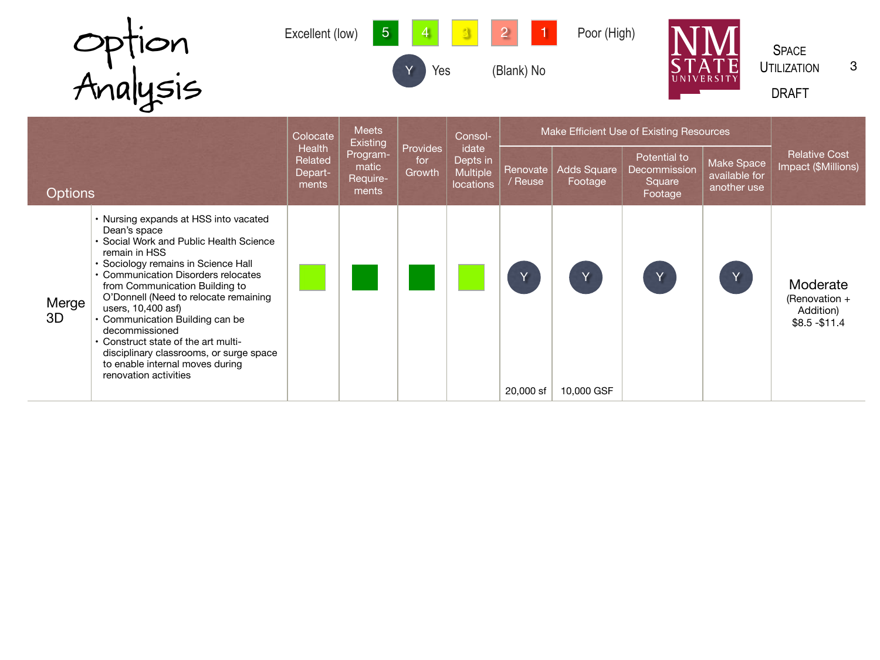|                | Option<br>Analysis                                                                                                                                                                                                                                                                                                                                                                           | Excellent (low)                       | 5                                      | Yes                              |                                                          | (Blank) No          | Poor (High)                   | <b>UNIVERSIT</b>                                  |                                                   | <b>SPACE</b><br>3<br><b>UTILIZATION</b><br><b>DRAFT</b>    |
|----------------|----------------------------------------------------------------------------------------------------------------------------------------------------------------------------------------------------------------------------------------------------------------------------------------------------------------------------------------------------------------------------------------------|---------------------------------------|----------------------------------------|----------------------------------|----------------------------------------------------------|---------------------|-------------------------------|---------------------------------------------------|---------------------------------------------------|------------------------------------------------------------|
|                |                                                                                                                                                                                                                                                                                                                                                                                              | Colocate                              | <b>Meets</b><br><b>Existing</b>        |                                  | Consol-                                                  |                     |                               | Make Efficient Use of Existing Resources          |                                                   |                                                            |
| <b>Options</b> |                                                                                                                                                                                                                                                                                                                                                                                              | Health<br>Related<br>Depart-<br>ments | Program-<br>matic<br>Require-<br>ments | <b>Provides</b><br>for<br>Growth | idate<br>Depts in<br><b>Multiple</b><br><b>locations</b> | Renovate<br>/ Reuse | <b>Adds Square</b><br>Footage | Potential to<br>Decommission<br>Square<br>Footage | <b>Make Space</b><br>available for<br>another use | <b>Relative Cost</b><br>Impact (\$Millions)                |
| Merge<br>3D    | • Nursing expands at HSS into vacated<br>Dean's space<br>• Social Work and Public Health Science<br>remain in HSS<br>• Sociology remains in Science Hall<br>• Communication Disorders relocates<br>from Communication Building to<br>O'Donnell (Need to relocate remaining<br>users, 10,400 asf)<br>• Communication Building can be<br>decommissioned<br>• Construct state of the art multi- |                                       |                                        |                                  |                                                          |                     | Y                             | Y                                                 | Y                                                 | Moderate<br>(Renovation $+$<br>Addition)<br>$$8.5 - $11.4$ |

20,000 sf | 10,000 GSF

disciplinary classrooms, or surge space

to enable internal moves during

renovation activities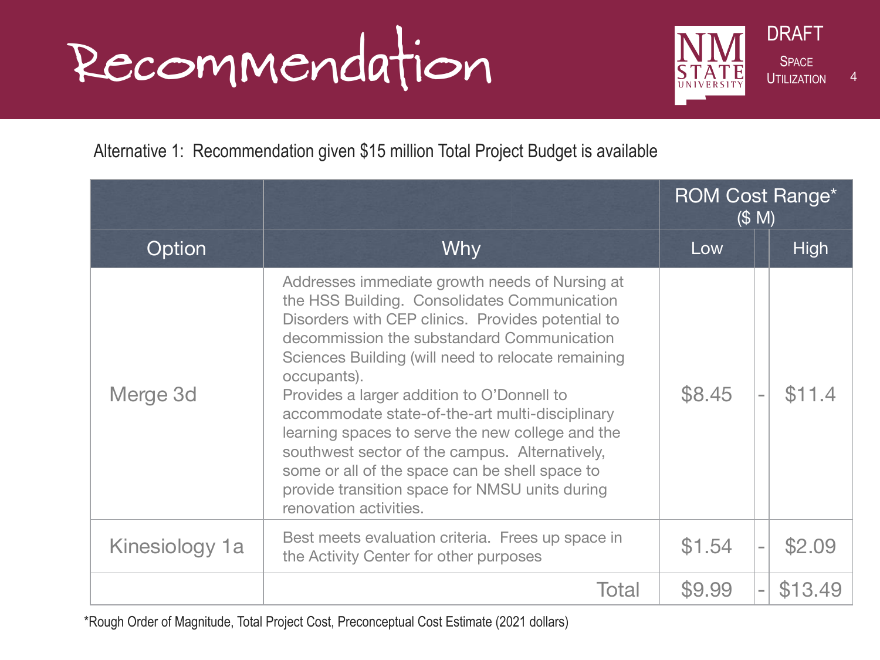### Recommendation STATE SPACE



### Alternative 1: Recommendation given \$15 million Total Project Budget is available

|                |                                                                                                                                                                                                                                                                                                                                                                                                                                                                                                                                                                                                             | <b>ROM Cost Range*</b><br>(S M) |  |             |
|----------------|-------------------------------------------------------------------------------------------------------------------------------------------------------------------------------------------------------------------------------------------------------------------------------------------------------------------------------------------------------------------------------------------------------------------------------------------------------------------------------------------------------------------------------------------------------------------------------------------------------------|---------------------------------|--|-------------|
| Option         | <b>Why</b>                                                                                                                                                                                                                                                                                                                                                                                                                                                                                                                                                                                                  | Low                             |  | <b>High</b> |
| Merge 3d       | Addresses immediate growth needs of Nursing at<br>the HSS Building. Consolidates Communication<br>Disorders with CEP clinics. Provides potential to<br>decommission the substandard Communication<br>Sciences Building (will need to relocate remaining<br>occupants).<br>Provides a larger addition to O'Donnell to<br>accommodate state-of-the-art multi-disciplinary<br>learning spaces to serve the new college and the<br>southwest sector of the campus. Alternatively,<br>some or all of the space can be shell space to<br>provide transition space for NMSU units during<br>renovation activities. | \$8.45                          |  | \$11.4      |
| Kinesiology 1a | Best meets evaluation criteria. Frees up space in<br>the Activity Center for other purposes                                                                                                                                                                                                                                                                                                                                                                                                                                                                                                                 | \$1.54                          |  | \$2.09      |
|                | <b>Total</b>                                                                                                                                                                                                                                                                                                                                                                                                                                                                                                                                                                                                | \$9.99                          |  | \$13.49     |

\*Rough Order of Magnitude, Total Project Cost, Preconceptual Cost Estimate (2021 dollars)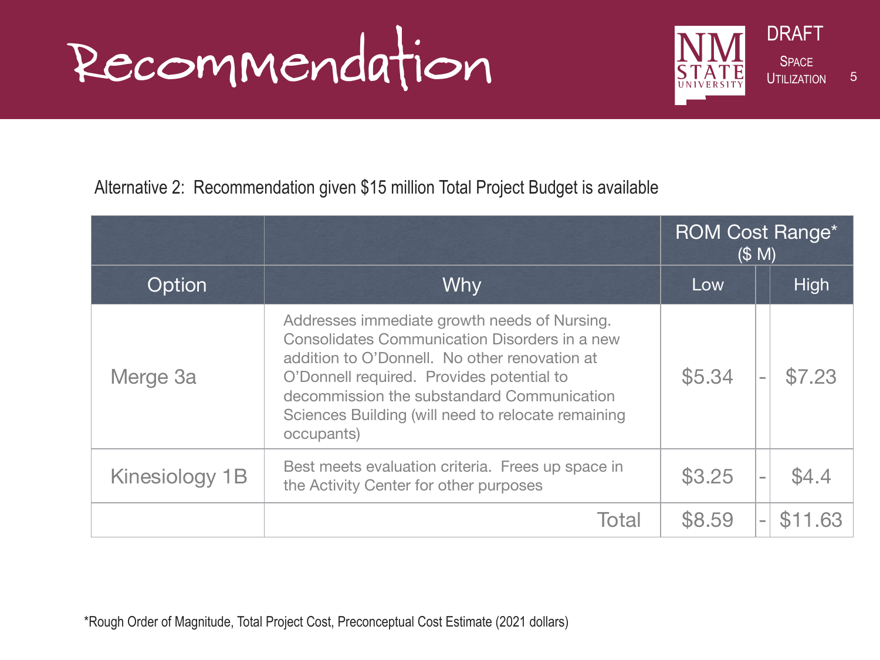## Recommendation STATE SPACE



#### Alternative 2: Recommendation given \$15 million Total Project Budget is available

|                |                                                                                                                                                                                                                                                                                                                      |        | <b>ROM Cost Range*</b><br>(S M) |
|----------------|----------------------------------------------------------------------------------------------------------------------------------------------------------------------------------------------------------------------------------------------------------------------------------------------------------------------|--------|---------------------------------|
| Option         | <b>Why</b>                                                                                                                                                                                                                                                                                                           | Low    | High                            |
| Merge 3a       | Addresses immediate growth needs of Nursing.<br><b>Consolidates Communication Disorders in a new</b><br>addition to O'Donnell. No other renovation at<br>O'Donnell required. Provides potential to<br>decommission the substandard Communication<br>Sciences Building (will need to relocate remaining<br>occupants) | \$5.34 | \$7.23                          |
| Kinesiology 1B | Best meets evaluation criteria. Frees up space in<br>the Activity Center for other purposes                                                                                                                                                                                                                          | \$3.25 | \$4.4<br>$\sim$                 |
|                | Total                                                                                                                                                                                                                                                                                                                | \$8.59 | \$11,63<br>$\equiv$             |